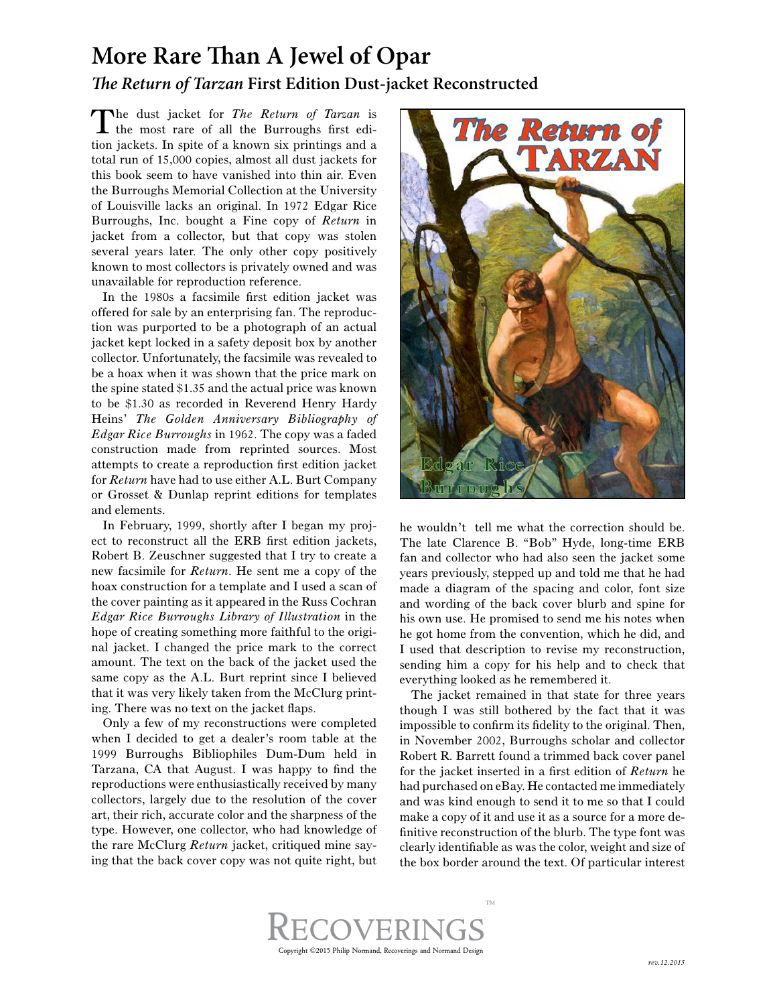## **More Rare Than A Jewel of Opar** *The Return of Tarzan* **First Edition Dust-jacket Reconstructed**

The dust jacket for *The Return of Tarzan* is the most rare of all the Burroughs first edition jackets. In spite of a known six printings and a total run of 15,000 copies, almost all dust jackets for this book seem to have vanished into thin air. Even the Burroughs Memorial Collection at the University of Louisville lacks an original. In 1972 Edgar Rice Burroughs, Inc. bought a Fine copy of *Return* in jacket from a collector, but that copy was stolen several years later. The only other copy positively known to most collectors is privately owned and was unavailable for reproduction reference.

In the 1980s a facsimile first edition jacket was offered for sale by an enterprising fan. The reproduction was purported to be a photograph of an actual jacket kept locked in a safety deposit box by another collector. Unfortunately, the facsimile was revealed to be a hoax when it was shown that the price mark on the spine stated \$1.35 and the actual price was known to be \$1.30 as recorded in Reverend Henry Hardy Heins' *The Golden Anniversary Bibliography of Edgar Rice Burroughs* in 1962. The copy was a faded construction made from reprinted sources. Most attempts to create a reproduction first edition jacket for *Return* have had to use either A.L. Burt Company or Grosset & Dunlap reprint editions for templates and elements.

In February, 1999, shortly after I began my project to reconstruct all the ERB first edition jackets, Robert B. Zeuschner suggested that I try to create a new facsimile for *Return*. He sent me a copy of the hoax construction for a template and I used a scan of the cover painting as it appeared in the Russ Cochran *Edgar Rice Burroughs Library of Illustration* in the hope of creating something more faithful to the original jacket. I changed the price mark to the correct amount. The text on the back of the jacket used the same copy as the A.L. Burt reprint since I believed that it was very likely taken from the McClurg printing. There was no text on the jacket flaps.

Only a few of my reconstructions were completed when I decided to get a dealer's room table at the 1999 Burroughs Bibliophiles Dum-Dum held in Tarzana, CA that August. I was happy to find the reproductions were enthusiastically received by many collectors, largely due to the resolution of the cover art, their rich, accurate color and the sharpness of the type. However, one collector, who had knowledge of the rare McClurg *Return* jacket, critiqued mine saying that the back cover copy was not quite right, but



he wouldn't tell me what the correction should be. The late Clarence B. "Bob" Hyde, long-time ERB fan and collector who had also seen the jacket some years previously, stepped up and told me that he had made a diagram of the spacing and color, font size and wording of the back cover blurb and spine for his own use. He promised to send me his notes when he got home from the convention, which he did, and I used that description to revise my reconstruction, sending him a copy for his help and to check that everything looked as he remembered it.

The jacket remained in that state for three years though I was still bothered by the fact that it was impossible to confirm its fidelity to the original. Then, in November 2002, Burroughs scholar and collector Robert R. Barrett found a trimmed back cover panel for the jacket inserted in a first edition of *Return* he had purchased on eBay. He contacted me immediately and was kind enough to send it to me so that I could make a copy of it and use it as a source for a more definitive reconstruction of the blurb. The type font was clearly identifiable as was the color, weight and size of the box border around the text. Of particular interest